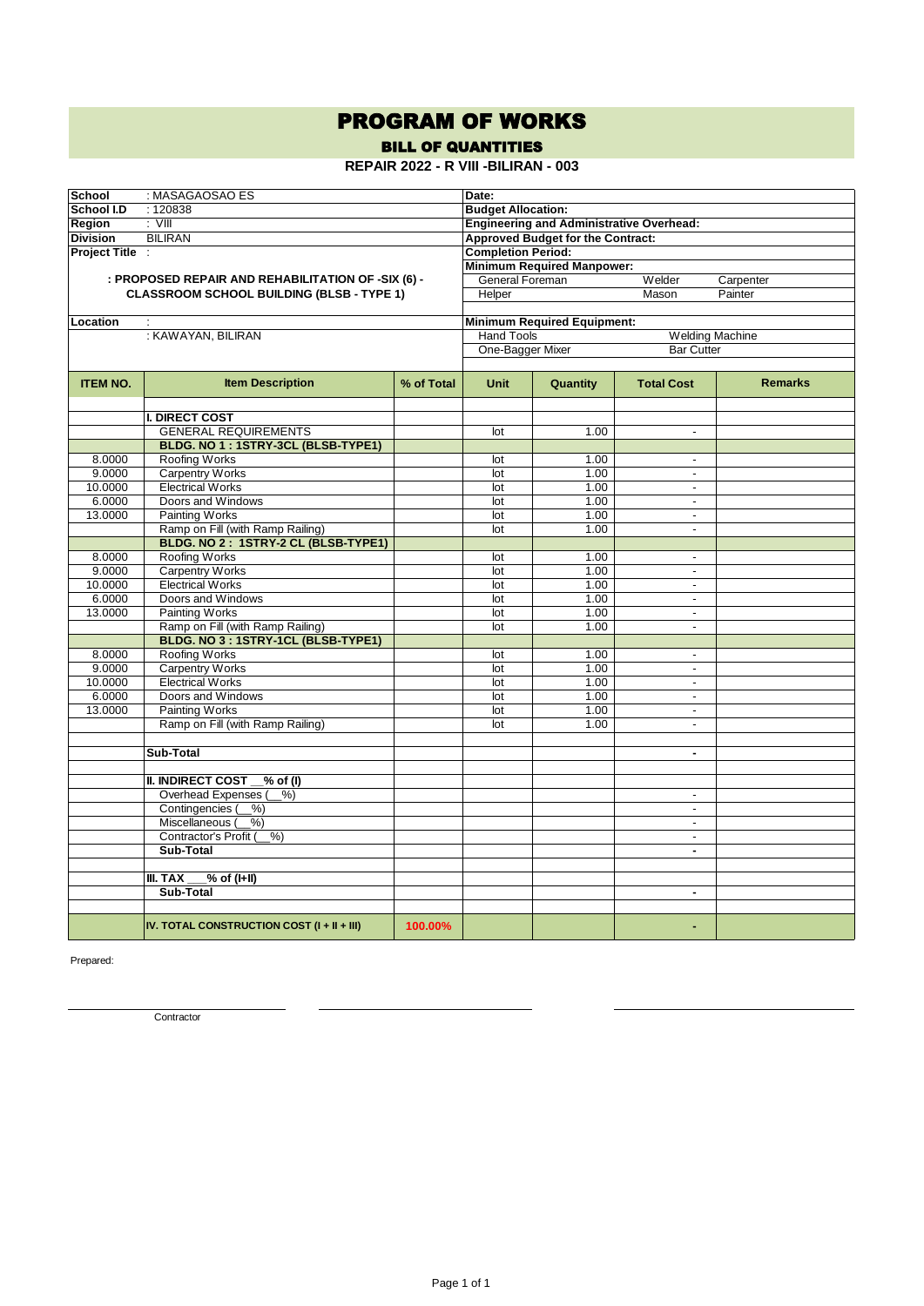## PROGRAM OF WORKS

BILL OF QUANTITIES

**REPAIR 2022 - R VIII -BILIRAN - 003**

| <b>School</b>     | : MASAGAOSAO ES                                    |                                                 | Date:                     |                                          |                          |                |  |  |
|-------------------|----------------------------------------------------|-------------------------------------------------|---------------------------|------------------------------------------|--------------------------|----------------|--|--|
| <b>School I.D</b> | :120838                                            | <b>Budget Allocation:</b>                       |                           |                                          |                          |                |  |  |
| Region            | $:$ VIII                                           | <b>Engineering and Administrative Overhead:</b> |                           |                                          |                          |                |  |  |
| <b>Division</b>   | <b>BILIRAN</b>                                     |                                                 |                           | <b>Approved Budget for the Contract:</b> |                          |                |  |  |
| Project Title :   |                                                    |                                                 | <b>Completion Period:</b> |                                          |                          |                |  |  |
|                   |                                                    |                                                 |                           | <b>Minimum Required Manpower:</b>        |                          |                |  |  |
|                   | : PROPOSED REPAIR AND REHABILITATION OF -SIX (6) - |                                                 | <b>General Foreman</b>    |                                          | Welder                   | Carpenter      |  |  |
|                   | <b>CLASSROOM SCHOOL BUILDING (BLSB - TYPE 1)</b>   |                                                 | Helper                    |                                          | Mason                    | Painter        |  |  |
|                   |                                                    |                                                 |                           |                                          |                          |                |  |  |
| Location          | ÷                                                  |                                                 |                           | <b>Minimum Required Equipment:</b>       |                          |                |  |  |
|                   | : KAWAYAN, BILIRAN                                 |                                                 |                           | Hand Tools                               | <b>Welding Machine</b>   |                |  |  |
|                   |                                                    |                                                 | One-Bagger Mixer          |                                          | <b>Bar Cutter</b>        |                |  |  |
|                   |                                                    |                                                 |                           |                                          |                          |                |  |  |
| <b>ITEM NO.</b>   | <b>Item Description</b>                            | % of Total                                      | <b>Unit</b>               | Quantity                                 | <b>Total Cost</b>        | <b>Remarks</b> |  |  |
|                   |                                                    |                                                 |                           |                                          |                          |                |  |  |
|                   | <b>I. DIRECT COST</b>                              |                                                 |                           |                                          |                          |                |  |  |
|                   | <b>GENERAL REQUIREMENTS</b>                        |                                                 | lot                       | 1.00                                     | $\overline{\phantom{a}}$ |                |  |  |
|                   | BLDG. NO 1: 1STRY-3CL (BLSB-TYPE1)                 |                                                 |                           |                                          |                          |                |  |  |
| 8.0000<br>9.0000  | Roofing Works                                      |                                                 | lot<br>lot                | 1.00<br>1.00                             | $\overline{\phantom{a}}$ |                |  |  |
| 10.0000           | <b>Carpentry Works</b><br><b>Electrical Works</b>  |                                                 | lot                       | 1.00                                     | $\overline{\phantom{a}}$ |                |  |  |
| 6.0000            | Doors and Windows                                  |                                                 | lot                       | 1.00                                     | $\blacksquare$           |                |  |  |
| 13.0000           | <b>Painting Works</b>                              |                                                 | lot                       | 1.00                                     | $\overline{\phantom{a}}$ |                |  |  |
|                   | Ramp on Fill (with Ramp Railing)                   |                                                 | lot                       | 1.00                                     | ÷,                       |                |  |  |
|                   | BLDG. NO 2: 1STRY-2 CL (BLSB-TYPE1)                |                                                 |                           |                                          |                          |                |  |  |
| 8.0000            | <b>Roofing Works</b>                               |                                                 | lot                       | 1.00                                     | $\overline{\phantom{a}}$ |                |  |  |
| 9.0000            | <b>Carpentry Works</b>                             |                                                 | lot                       | 1.00                                     | $\blacksquare$           |                |  |  |
| 10.0000           | <b>Electrical Works</b>                            |                                                 | lot                       | 1.00                                     | $\blacksquare$           |                |  |  |
| 6.0000            | Doors and Windows                                  |                                                 | lot                       | 1.00                                     | $\overline{a}$           |                |  |  |
| 13.0000           | Painting Works                                     |                                                 | lot                       | 1.00                                     | $\overline{\phantom{a}}$ |                |  |  |
|                   | Ramp on Fill (with Ramp Railing)                   |                                                 | lot                       | 1.00                                     | $\overline{\phantom{a}}$ |                |  |  |
|                   | BLDG. NO 3 : 1STRY-1CL (BLSB-TYPE1)                |                                                 |                           |                                          |                          |                |  |  |
| 8.0000            | Roofing Works                                      |                                                 | lot                       | 1.00                                     |                          |                |  |  |
| 9.0000            | <b>Carpentry Works</b>                             |                                                 | lot                       | 1.00                                     | $\overline{a}$           |                |  |  |
| 10.0000           | <b>Electrical Works</b>                            |                                                 | lot                       | 1.00                                     | $\overline{\phantom{a}}$ |                |  |  |
| 6.0000            | Doors and Windows                                  |                                                 | lot                       | 1.00                                     | $\overline{\phantom{a}}$ |                |  |  |
| 13.0000           | <b>Painting Works</b>                              |                                                 | lot                       | 1.00                                     | $\overline{\phantom{a}}$ |                |  |  |
|                   | Ramp on Fill (with Ramp Railing)                   |                                                 | lot                       | 1.00                                     | $\blacksquare$           |                |  |  |
|                   |                                                    |                                                 |                           |                                          |                          |                |  |  |
|                   | Sub-Total                                          |                                                 |                           |                                          | ٠                        |                |  |  |
|                   |                                                    |                                                 |                           |                                          |                          |                |  |  |
|                   | <b>II. INDIRECT COST</b><br>$\sqrt{2}$ of (I)      |                                                 |                           |                                          |                          |                |  |  |
|                   | Overhead Expenses (<br>$-\frac{9}{6}$              |                                                 |                           |                                          | $\overline{a}$           |                |  |  |
|                   | Contingencies (<br>$%$ )                           |                                                 |                           |                                          | $\overline{a}$           |                |  |  |
|                   | Miscellaneous (<br>%                               |                                                 |                           |                                          | $\overline{\phantom{a}}$ |                |  |  |
|                   | Contractor's Profit (<br>%                         |                                                 |                           |                                          | $\overline{\phantom{a}}$ |                |  |  |
|                   | Sub-Total                                          |                                                 |                           |                                          | $\blacksquare$           |                |  |  |
|                   |                                                    |                                                 |                           |                                          |                          |                |  |  |
|                   | III. TAX<br>% of (I+II)                            |                                                 |                           |                                          |                          |                |  |  |
|                   | Sub-Total                                          |                                                 |                           |                                          | ٠                        |                |  |  |
|                   |                                                    |                                                 |                           |                                          |                          |                |  |  |
|                   | IV. TOTAL CONSTRUCTION COST $(I + II + III)$       | 100.00%                                         |                           |                                          | ٠                        |                |  |  |

Prepared:

**Contractor**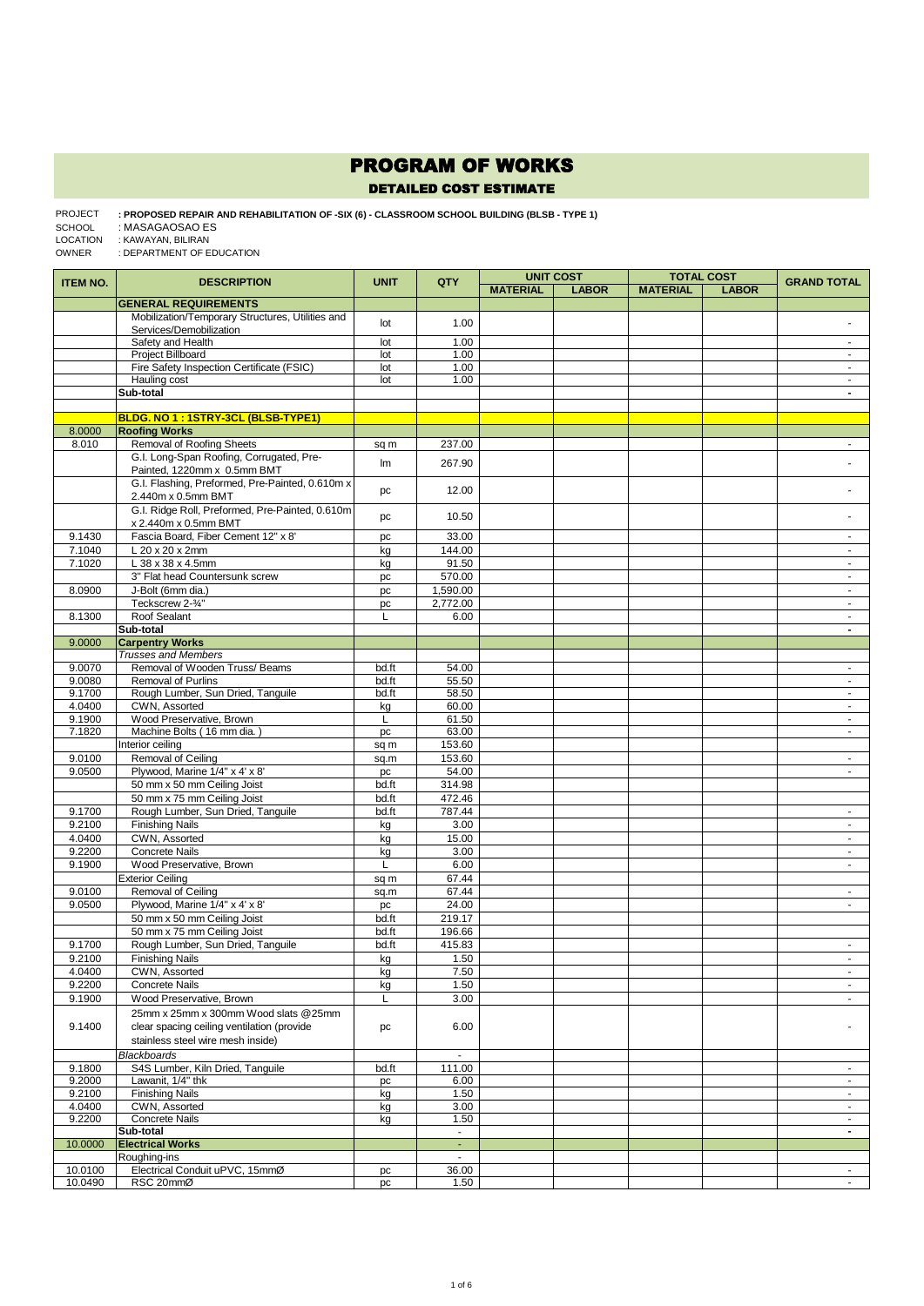## PROGRAM OF WORKS

## DETAILED COST ESTIMATE

**: PROPOSED REPAIR AND REHABILITATION OF -SIX (6) - CLASSROOM SCHOOL BUILDING (BLSB - TYPE 1)**  PROJECT : MASAGAOSAO ES : KAWAYAN, BILIRAN SCHOOL LOCATION

: DEPARTMENT OF EDUCATION OWNER

| <b>ITEM NO.</b>  | <b>DESCRIPTION</b>                                                      | <b>UNIT</b> | QTY                     |                 | <b>UNIT COST</b> |                 | <b>TOTAL COST</b> | <b>GRAND TOTAL</b>               |
|------------------|-------------------------------------------------------------------------|-------------|-------------------------|-----------------|------------------|-----------------|-------------------|----------------------------------|
|                  |                                                                         |             |                         | <b>MATERIAL</b> | <b>LABOR</b>     | <b>MATERIAL</b> | <b>LABOR</b>      |                                  |
|                  | <b>GENERAL REQUIREMENTS</b>                                             |             |                         |                 |                  |                 |                   |                                  |
|                  | Mobilization/Temporary Structures, Utilities and                        | lot         | 1.00                    |                 |                  |                 |                   |                                  |
|                  | Services/Demobilization                                                 |             |                         |                 |                  |                 |                   |                                  |
|                  | Safety and Health<br>Project Billboard                                  | lot         | 1.00                    |                 |                  |                 |                   | ÷.                               |
|                  | Fire Safety Inspection Certificate (FSIC)                               | lot<br>lot  | 1.00<br>1.00            |                 |                  |                 |                   | $\blacksquare$<br>$\sim$         |
|                  | Hauling cost                                                            | lot         | 1.00                    |                 |                  |                 |                   | ÷,                               |
|                  | Sub-total                                                               |             |                         |                 |                  |                 |                   | $\blacksquare$                   |
|                  |                                                                         |             |                         |                 |                  |                 |                   |                                  |
|                  | BLDG. NO 1 : 1STRY-3CL (BLSB-TYPE1)                                     |             |                         |                 |                  |                 |                   |                                  |
| 8.0000           | <b>Roofing Works</b>                                                    |             |                         |                 |                  |                 |                   |                                  |
| 8.010            | Removal of Roofing Sheets                                               | sq m        | 237.00                  |                 |                  |                 |                   | $\sim$                           |
|                  | G.I. Long-Span Roofing, Corrugated, Pre-<br>Painted, 1220mm x 0.5mm BMT | Im          | 267.90                  |                 |                  |                 |                   |                                  |
|                  | G.I. Flashing, Preformed, Pre-Painted, 0.610m x                         | pc          | 12.00                   |                 |                  |                 |                   |                                  |
|                  | 2.440m x 0.5mm BMT<br>G.I. Ridge Roll, Preformed, Pre-Painted, 0.610m   |             |                         |                 |                  |                 |                   |                                  |
|                  | x 2.440m x 0.5mm BMT                                                    | pc          | 10.50                   |                 |                  |                 |                   |                                  |
| 9.1430           | Fascia Board, Fiber Cement 12" x 8'                                     | pc          | 33.00                   |                 |                  |                 |                   | $\omega$                         |
| 7.1040           | L 20 x 20 x 2mm                                                         | kg          | 144.00                  |                 |                  |                 |                   | $\blacksquare$                   |
| 7.1020           | L 38 x 38 x 4.5mm                                                       | kg          | 91.50                   |                 |                  |                 |                   | $\blacksquare$                   |
|                  | 3" Flat head Countersunk screw                                          | pc          | 570.00                  |                 |                  |                 |                   | $\sim$                           |
| 8.0900           | J-Bolt (6mm dia.)                                                       | pc          | 1,590.00                |                 |                  |                 |                   | $\sim$                           |
|                  | Teckscrew 2-3/4"                                                        | pc          | 2,772.00                |                 |                  |                 |                   | ÷.                               |
| 8.1300           | Roof Sealant<br>Sub-total                                               | L           | 6.00                    |                 |                  |                 |                   | ä,<br>$\overline{\phantom{a}}$   |
| 9.0000           | <b>Carpentry Works</b>                                                  |             |                         |                 |                  |                 |                   |                                  |
|                  | <b>Trusses and Members</b>                                              |             |                         |                 |                  |                 |                   |                                  |
| 9.0070           | Removal of Wooden Truss/ Beams                                          | bd.ft       | 54.00                   |                 |                  |                 |                   | ٠                                |
| 9.0080           | Removal of Purlins                                                      | bd.ft       | 55.50                   |                 |                  |                 |                   | $\omega$                         |
| 9.1700           | Rough Lumber, Sun Dried, Tanguile                                       | bd.ft       | 58.50                   |                 |                  |                 |                   | $\sim$                           |
| 4.0400           | CWN, Assorted                                                           | kg          | 60.00                   |                 |                  |                 |                   | $\sim$                           |
| 9.1900           | Wood Preservative, Brown                                                | L           | 61.50                   |                 |                  |                 |                   | ۰                                |
| 7.1820           | Machine Bolts (16 mm dia.)                                              | pc          | 63.00                   |                 |                  |                 |                   | $\blacksquare$                   |
|                  | Interior ceiling                                                        | sq m        | 153.60                  |                 |                  |                 |                   |                                  |
| 9.0100           | Removal of Ceiling                                                      | sq.m        | 153.60                  |                 |                  |                 |                   | $\sim$                           |
| 9.0500           | Plywood, Marine 1/4" x 4' x 8'                                          | pc          | 54.00                   |                 |                  |                 |                   | $\blacksquare$                   |
|                  | 50 mm x 50 mm Ceiling Joist                                             | bd.ft       | 314.98                  |                 |                  |                 |                   |                                  |
|                  | 50 mm x 75 mm Ceiling Joist                                             | bd.ft       | 472.46                  |                 |                  |                 |                   |                                  |
| 9.1700           | Rough Lumber, Sun Dried, Tanguile                                       | bd.ft       | 787.44                  |                 |                  |                 |                   | ×.                               |
| 9.2100           | <b>Finishing Nails</b>                                                  | kg          | 3.00                    |                 |                  |                 |                   | $\sim$                           |
| 4.0400           | CWN, Assorted                                                           | kg          | 15.00                   |                 |                  |                 |                   | $\blacksquare$                   |
| 9.2200           | <b>Concrete Nails</b>                                                   | kg          | 3.00                    |                 |                  |                 |                   | $\sim$                           |
| 9.1900           | Wood Preservative, Brown                                                | L           | 6.00                    |                 |                  |                 |                   | $\blacksquare$                   |
|                  | <b>Exterior Ceiling</b>                                                 | sq m        | 67.44                   |                 |                  |                 |                   |                                  |
| 9.0100           | Removal of Ceiling                                                      | sq.m        | 67.44                   |                 |                  |                 |                   | ٠                                |
| 9.0500           | Plywood, Marine 1/4" x 4' x 8"                                          | pc          | 24.00                   |                 |                  |                 |                   | ÷.                               |
|                  | 50 mm x 50 mm Ceiling Joist                                             | bd.ft       | 219.17                  |                 |                  |                 |                   |                                  |
|                  | 50 mm x 75 mm Ceiling Joist                                             | bd.ft       | 196.66                  |                 |                  |                 |                   |                                  |
| 9.1700<br>9.2100 | Rough Lumber, Sun Dried, Tanguile                                       | bd.ft       | 415.83<br>1.50          |                 |                  |                 |                   | $\blacksquare$<br>$\blacksquare$ |
|                  | <b>Finishing Nails</b><br>CWN, Assorted                                 | kg          | 7.50                    |                 |                  |                 |                   | ٠                                |
| 4.0400<br>9.2200 | Concrete Nails                                                          | kg<br>kg    | 1.50                    |                 |                  |                 |                   | $\blacksquare$                   |
| 9.1900           | Wood Preservative, Brown                                                | L           | 3.00                    |                 |                  |                 |                   | $\blacksquare$                   |
|                  | 25mm x 25mm x 300mm Wood slats @25mm                                    |             |                         |                 |                  |                 |                   |                                  |
| 9.1400           | clear spacing ceiling ventilation (provide                              | pc          | 6.00                    |                 |                  |                 |                   |                                  |
|                  | stainless steel wire mesh inside)                                       |             |                         |                 |                  |                 |                   |                                  |
|                  | <b>Blackboards</b>                                                      |             | $\blacksquare$          |                 |                  |                 |                   |                                  |
| 9.1800           | S4S Lumber, Kiln Dried, Tanquile                                        | bd.ft       | 111.00                  |                 |                  |                 |                   | ٠                                |
| 9.2000           | Lawanit, 1/4" thk                                                       | pc          | 6.00                    |                 |                  |                 |                   | ÷.                               |
| 9.2100           | <b>Finishing Nails</b>                                                  | kg          | 1.50                    |                 |                  |                 |                   | $\blacksquare$                   |
| 4.0400           | CWN, Assorted                                                           | kg          | 3.00                    |                 |                  |                 |                   | $\blacksquare$                   |
| 9.2200           | <b>Concrete Nails</b>                                                   | kg          | 1.50                    |                 |                  |                 |                   | ÷                                |
|                  | Sub-total                                                               |             | $\sim$                  |                 |                  |                 |                   | $\blacksquare$                   |
| 10.0000          | <b>Electrical Works</b>                                                 |             | ÷                       |                 |                  |                 |                   |                                  |
| 10.0100          | Roughing-ins<br>Electrical Conduit uPVC, 15mmØ                          |             | $\blacksquare$<br>36.00 |                 |                  |                 |                   | $\blacksquare$                   |
| 10.0490          | RSC 20mmØ                                                               | pc<br>pc    | 1.50                    |                 |                  |                 |                   | $\sim$                           |
|                  |                                                                         |             |                         |                 |                  |                 |                   |                                  |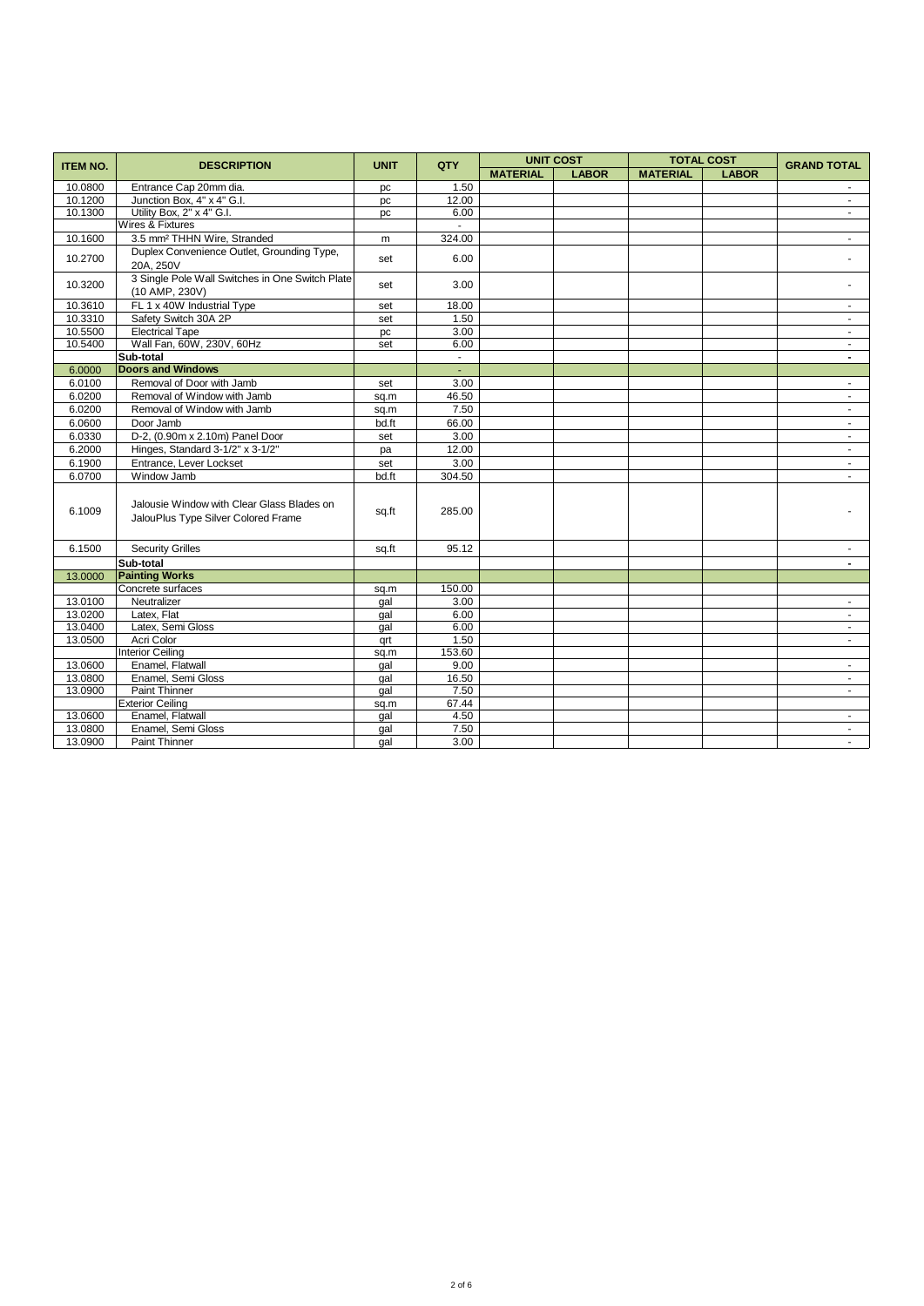| <b>ITEM NO.</b> | <b>DESCRIPTION</b>                                                                | <b>UNIT</b> | QTY    | <b>UNIT COST</b> |              | <b>TOTAL COST</b> |              | <b>GRAND TOTAL</b>       |
|-----------------|-----------------------------------------------------------------------------------|-------------|--------|------------------|--------------|-------------------|--------------|--------------------------|
|                 |                                                                                   |             |        | <b>MATERIAL</b>  | <b>LABOR</b> | <b>MATERIAL</b>   | <b>LABOR</b> |                          |
| 10.0800         | Entrance Cap 20mm dia.                                                            | pc          | 1.50   |                  |              |                   |              |                          |
| 10.1200         | Junction Box, 4" x 4" G.I.                                                        | pc          | 12.00  |                  |              |                   |              | $\blacksquare$           |
| 10.1300         | Utility Box, 2" x 4" G.I.                                                         | pc          | 6.00   |                  |              |                   |              | $\sim$                   |
|                 | Wires & Fixtures                                                                  |             | $\sim$ |                  |              |                   |              |                          |
| 10.1600         | 3.5 mm <sup>2</sup> THHN Wire, Stranded                                           | m           | 324.00 |                  |              |                   |              | $\sim$                   |
| 10.2700         | Duplex Convenience Outlet, Grounding Type,<br>20A. 250V                           | set         | 6.00   |                  |              |                   |              |                          |
| 10.3200         | 3 Single Pole Wall Switches in One Switch Plate<br>(10 AMP, 230V)                 | set         | 3.00   |                  |              |                   |              |                          |
| 10.3610         | FL 1 x 40W Industrial Type                                                        | set         | 18.00  |                  |              |                   |              | $\sim$                   |
| 10.3310         | Safety Switch 30A 2P                                                              | set         | 1.50   |                  |              |                   |              |                          |
| 10.5500         | <b>Electrical Tape</b>                                                            | pc          | 3.00   |                  |              |                   |              | $\sim$                   |
| 10.5400         | Wall Fan, 60W, 230V, 60Hz                                                         | set         | 6.00   |                  |              |                   |              | $\sim$                   |
|                 | Sub-total                                                                         |             | $\sim$ |                  |              |                   |              | $\overline{\phantom{0}}$ |
| 6.0000          | <b>Doors and Windows</b>                                                          |             | ÷.     |                  |              |                   |              |                          |
| 6.0100          | Removal of Door with Jamb                                                         | set         | 3.00   |                  |              |                   |              | $\blacksquare$           |
| 6.0200          | Removal of Window with Jamb                                                       | sq.m        | 46.50  |                  |              |                   |              | $\sim$                   |
| 6.0200          | Removal of Window with Jamb                                                       | sq.m        | 7.50   |                  |              |                   |              | $\sim$                   |
| 6.0600          | Door Jamb                                                                         | bd.ft       | 66.00  |                  |              |                   |              | $\blacksquare$           |
| 6.0330          | D-2, (0.90m x 2.10m) Panel Door                                                   | set         | 3.00   |                  |              |                   |              | $\sim$                   |
| 6.2000          | Hinges, Standard 3-1/2" x 3-1/2"                                                  | pa          | 12.00  |                  |              |                   |              | $\sim$                   |
| 6.1900          | Entrance, Lever Lockset                                                           | set         | 3.00   |                  |              |                   |              |                          |
| 6.0700          | Window Jamb                                                                       | bd.ft       | 304.50 |                  |              |                   |              | $\sim$                   |
| 6.1009          | Jalousie Window with Clear Glass Blades on<br>JalouPlus Type Silver Colored Frame | sq.ft       | 285.00 |                  |              |                   |              |                          |
| 6.1500          | <b>Security Grilles</b>                                                           | sq.ft       | 95.12  |                  |              |                   |              |                          |
|                 | Sub-total                                                                         |             |        |                  |              |                   |              | $\blacksquare$           |
| 13.0000         | <b>Painting Works</b>                                                             |             |        |                  |              |                   |              |                          |
|                 | Concrete surfaces                                                                 | sq.m        | 150.00 |                  |              |                   |              |                          |
| 13.0100         | Neutralizer                                                                       | gal         | 3.00   |                  |              |                   |              | $\sim$                   |
| 13.0200         | Latex, Flat                                                                       | qal         | 6.00   |                  |              |                   |              | $\sim$                   |
| 13.0400         | Latex, Semi Gloss                                                                 | gal         | 6.00   |                  |              |                   |              | $\sim$                   |
| 13.0500         | Acri Color                                                                        | qrt         | 1.50   |                  |              |                   |              | $\sim$                   |
|                 | <b>Interior Ceiling</b>                                                           | sq.m        | 153.60 |                  |              |                   |              |                          |
| 13.0600         | Enamel, Flatwall                                                                  | gal         | 9.00   |                  |              |                   |              | $\sim$                   |
| 13.0800         | Enamel, Semi Gloss                                                                | gal         | 16.50  |                  |              |                   |              | $\blacksquare$           |
| 13.0900         | <b>Paint Thinner</b>                                                              | qal         | 7.50   |                  |              |                   |              | $\sim$                   |
|                 | <b>Exterior Ceiling</b>                                                           | sq.m        | 67.44  |                  |              |                   |              |                          |
| 13.0600         | Enamel, Flatwall                                                                  | gal         | 4.50   |                  |              |                   |              | $\sim$                   |
| 13.0800         | Enamel, Semi Gloss                                                                | gal         | 7.50   |                  |              |                   |              | $\sim$                   |
| 13.0900         | <b>Paint Thinner</b>                                                              | gal         | 3.00   |                  |              |                   |              | $\sim$                   |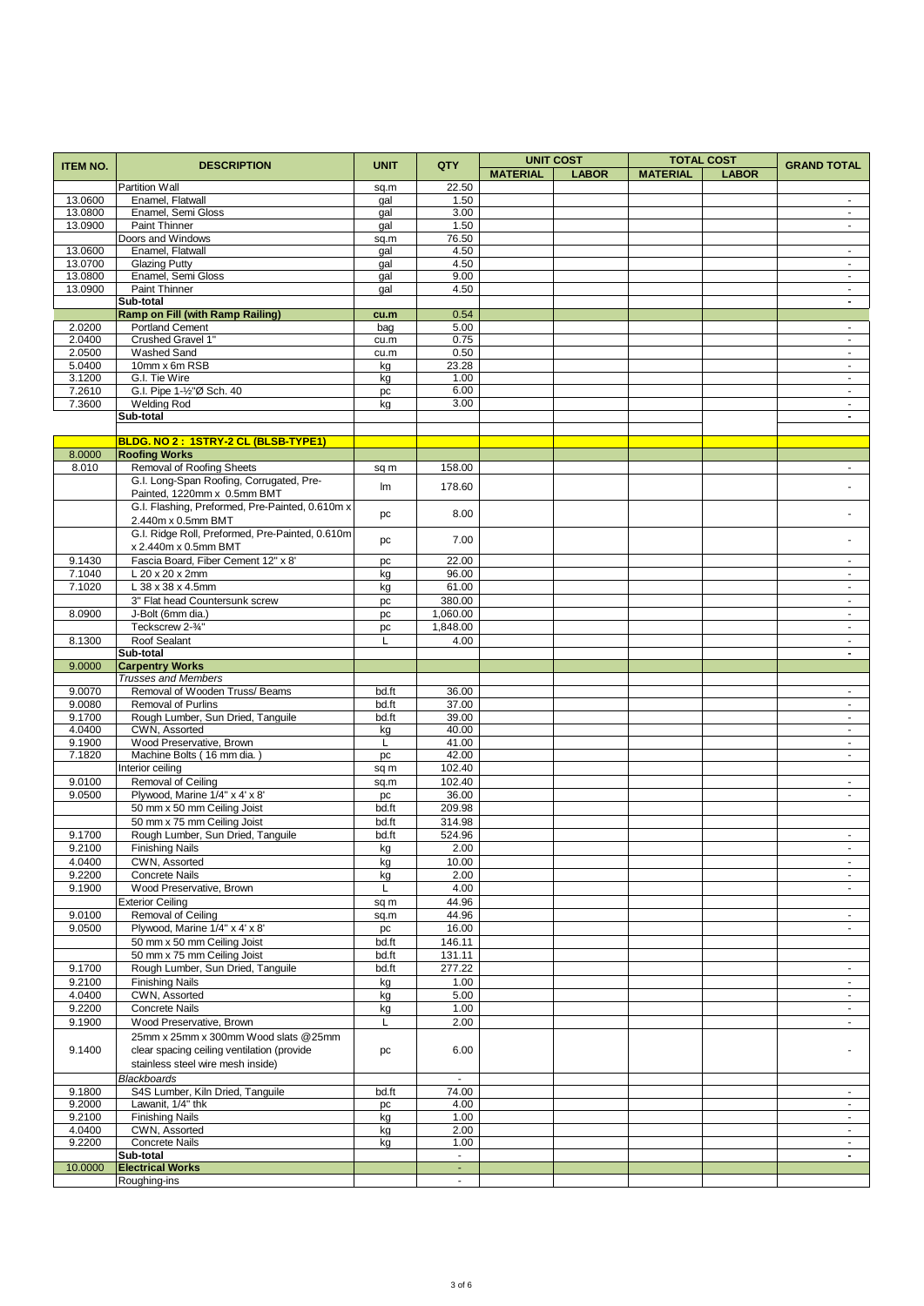| <b>ITEM NO.</b>  | <b>DESCRIPTION</b>                                         | <b>UNIT</b>    | QTY                                 |                 | <b>UNIT COST</b> |                 | <b>TOTAL COST</b> | <b>GRAND TOTAL</b>                    |
|------------------|------------------------------------------------------------|----------------|-------------------------------------|-----------------|------------------|-----------------|-------------------|---------------------------------------|
|                  |                                                            |                |                                     | <b>MATERIAL</b> | <b>LABOR</b>     | <b>MATERIAL</b> | <b>LABOR</b>      |                                       |
|                  | <b>Partition Wall</b>                                      | sq.m           | 22.50                               |                 |                  |                 |                   |                                       |
| 13.0600          | Enamel, Flatwall                                           | gal            | 1.50                                |                 |                  |                 |                   | $\sim$                                |
| 13.0800          | Enamel, Semi Gloss                                         | gal            | 3.00                                |                 |                  |                 |                   | $\sim$                                |
| 13.0900          | Paint Thinner                                              | gal            | 1.50                                |                 |                  |                 |                   | $\blacksquare$                        |
|                  | Doors and Windows                                          | sq.m           | 76.50                               |                 |                  |                 |                   |                                       |
| 13.0600          | Enamel, Flatwall                                           | gal            | 4.50                                |                 |                  |                 |                   | $\sim$                                |
| 13.0700          | <b>Glazing Putty</b>                                       | gal            | 4.50                                |                 |                  |                 |                   | $\blacksquare$<br>$\sim$              |
| 13.0800          | Enamel, Semi Gloss                                         | gal            | 9.00                                |                 |                  |                 |                   | $\sim$                                |
| 13.0900          | Paint Thinner<br>Sub-total                                 | gal            | 4.50                                |                 |                  |                 |                   | $\blacksquare$                        |
|                  | <b>Ramp on Fill (with Ramp Railing)</b>                    | cu.m           | 0.54                                |                 |                  |                 |                   |                                       |
| 2.0200           | <b>Portland Cement</b>                                     | bag            | 5.00                                |                 |                  |                 |                   | $\sim$                                |
| 2.0400           | Crushed Gravel 1"                                          | cu.m           | 0.75                                |                 |                  |                 |                   | $\blacksquare$                        |
| 2.0500           | Washed Sand                                                | cu.m           | 0.50                                |                 |                  |                 |                   | $\sim$                                |
| 5.0400           | 10mm x 6m RSB                                              | kg             | 23.28                               |                 |                  |                 |                   | $\blacksquare$                        |
| 3.1200           | G.I. Tie Wire                                              | kg             | 1.00                                |                 |                  |                 |                   | $\sim$                                |
| 7.2610           | G.I. Pipe 1-1/2"Ø Sch. 40                                  | pc             | 6.00                                |                 |                  |                 |                   | $\sim$                                |
| 7.3600           | <b>Welding Rod</b>                                         | kg             | 3.00                                |                 |                  |                 |                   | $\blacksquare$                        |
|                  | Sub-total                                                  |                |                                     |                 |                  |                 |                   | $\blacksquare$                        |
|                  |                                                            |                |                                     |                 |                  |                 |                   |                                       |
|                  | BLDG. NO 2: 1STRY-2 CL (BLSB-TYPE1)                        |                |                                     |                 |                  |                 |                   |                                       |
| 8.0000           | <b>Roofing Works</b>                                       |                |                                     |                 |                  |                 |                   |                                       |
| 8.010            | <b>Removal of Roofing Sheets</b>                           | sq m           | 158.00                              |                 |                  |                 |                   | $\blacksquare$                        |
|                  | G.I. Long-Span Roofing, Corrugated, Pre-                   | Im             | 178.60                              |                 |                  |                 |                   |                                       |
|                  | Painted, 1220mm x 0.5mm BMT                                |                |                                     |                 |                  |                 |                   |                                       |
|                  | G.I. Flashing, Preformed, Pre-Painted, 0.610m x            | pc             | 8.00                                |                 |                  |                 |                   |                                       |
|                  | 2.440m x 0.5mm BMT                                         |                |                                     |                 |                  |                 |                   |                                       |
|                  | G.I. Ridge Roll, Preformed, Pre-Painted, 0.610m            | pc             | 7.00                                |                 |                  |                 |                   |                                       |
|                  | x 2.440m x 0.5mm BMT                                       |                |                                     |                 |                  |                 |                   |                                       |
| 9.1430           | Fascia Board, Fiber Cement 12" x 8'                        | pc             | 22.00                               |                 |                  |                 |                   | $\blacksquare$                        |
| 7.1040           | L 20 x 20 x 2mm                                            | kg             | 96.00                               |                 |                  |                 |                   | $\sim$                                |
| 7.1020           | L 38 x 38 x 4.5mm                                          | kg             | 61.00                               |                 |                  |                 |                   | $\blacksquare$                        |
|                  | 3" Flat head Countersunk screw                             | pc             | 380.00                              |                 |                  |                 |                   | $\blacksquare$                        |
| 8.0900           | J-Bolt (6mm dia.)                                          | pc             | 1,060.00                            |                 |                  |                 |                   | $\sim$                                |
|                  | Teckscrew 2-3/4"                                           | pc             | 1,848.00                            |                 |                  |                 |                   | $\sim$                                |
| 8.1300           | Roof Sealant                                               | L              | 4.00                                |                 |                  |                 |                   | $\blacksquare$                        |
|                  | Sub-total                                                  |                |                                     |                 |                  |                 |                   | $\blacksquare$                        |
| 9.0000           | <b>Carpentry Works</b>                                     |                |                                     |                 |                  |                 |                   |                                       |
|                  | <b>Trusses and Members</b>                                 |                |                                     |                 |                  |                 |                   |                                       |
| 9.0070           | Removal of Wooden Truss/Beams                              | bd.ft          | 36.00                               |                 |                  |                 |                   | $\blacksquare$                        |
| 9.0080           | <b>Removal of Purlins</b>                                  | bd.ft          | 37.00                               |                 |                  |                 |                   | $\sim$                                |
| 9.1700           | Rough Lumber, Sun Dried, Tanguile                          | bd.ft          | 39.00                               |                 |                  |                 |                   | $\blacksquare$                        |
| 4.0400           | CWN, Assorted                                              | kg             | 40.00                               |                 |                  |                 |                   | $\blacksquare$                        |
| 9.1900<br>7.1820 | Wood Preservative, Brown<br>Machine Bolts (16 mm dia.      | L              | 41.00<br>42.00                      |                 |                  |                 |                   | $\sim$<br>$\mathcal{L}^{\mathcal{A}}$ |
|                  | Interior ceiling                                           | pc             | 102.40                              |                 |                  |                 |                   |                                       |
| 9.0100           | Removal of Ceiling                                         | sq m           | 102.40                              |                 |                  |                 |                   | $\sim$                                |
| 9.0500           | Plywood, Marine 1/4" x 4' x 8'                             | sq.m<br>pc     | 36.00                               |                 |                  |                 |                   | ÷.                                    |
|                  | 50 mm x 50 mm Ceiling Joist                                | bd.ft          | 209.98                              |                 |                  |                 |                   |                                       |
|                  | 50 mm x 75 mm Ceiling Joist                                | bd.ft          | 314.98                              |                 |                  |                 |                   |                                       |
| 9.1700           | Rough Lumber, Sun Dried, Tanguile                          | bd.ft          | 524.96                              |                 |                  |                 |                   | $\blacksquare$                        |
| 9.2100           | <b>Finishing Nails</b>                                     |                | 2.00                                |                 |                  |                 |                   |                                       |
|                  |                                                            | kg             |                                     |                 |                  |                 |                   | $\sim$                                |
| 4.0400<br>9.2200 | CWN, Assorted<br><b>Concrete Nails</b>                     | kg             | 10.00<br>2.00                       |                 |                  |                 |                   | $\sim$                                |
| 9.1900           | Wood Preservative, Brown                                   | kg<br>L        | 4.00                                |                 |                  |                 |                   |                                       |
|                  | <b>Exterior Ceiling</b>                                    |                | 44.96                               |                 |                  |                 |                   | $\sim$                                |
|                  | Removal of Ceiling                                         | sq m           |                                     |                 |                  |                 |                   |                                       |
| 9.0100           |                                                            | sq.m           | 44.96                               |                 |                  |                 |                   | $\sim$<br>$\blacksquare$              |
| 9.0500           | Plywood, Marine 1/4" x 4' x 8'                             | pc             | 16.00<br>146.11                     |                 |                  |                 |                   |                                       |
|                  | 50 mm x 50 mm Ceiling Joist<br>50 mm x 75 mm Ceiling Joist | bd.ft<br>bd.ft | 131.11                              |                 |                  |                 |                   |                                       |
| 9.1700           | Rough Lumber, Sun Dried, Tanguile                          | bd.ft          | 277.22                              |                 |                  |                 |                   | $\blacksquare$                        |
| 9.2100           | <b>Finishing Nails</b>                                     |                | 1.00                                |                 |                  |                 |                   |                                       |
| 4.0400           | CWN, Assorted                                              | kg             | 5.00                                |                 |                  |                 |                   | $\blacksquare$<br>$\sim$              |
| 9.2200           | Concrete Nails                                             | kg<br>kg       | 1.00                                |                 |                  |                 |                   | $\blacksquare$                        |
| 9.1900           | Wood Preservative, Brown                                   | L              | 2.00                                |                 |                  |                 |                   | $\sim$                                |
|                  |                                                            |                |                                     |                 |                  |                 |                   |                                       |
|                  | 25mm x 25mm x 300mm Wood slats @25mm                       |                |                                     |                 |                  |                 |                   |                                       |
| 9.1400           | clear spacing ceiling ventilation (provide                 | pc             | 6.00                                |                 |                  |                 |                   |                                       |
|                  | stainless steel wire mesh inside)                          |                |                                     |                 |                  |                 |                   |                                       |
|                  | <b>Blackboards</b>                                         |                | $\blacksquare$                      |                 |                  |                 |                   |                                       |
| 9.1800           | S4S Lumber, Kiln Dried, Tanguile                           | bd.ft          | 74.00                               |                 |                  |                 |                   |                                       |
| 9.2000           | Lawanit, 1/4" thk                                          | pc             | 4.00                                |                 |                  |                 |                   | $\omega$                              |
| 9.2100           | <b>Finishing Nails</b>                                     | kg             | 1.00                                |                 |                  |                 |                   | $\sim$                                |
| 4.0400           | CWN, Assorted                                              | kg             | 2.00                                |                 |                  |                 |                   | $\sim$                                |
| 9.2200           | <b>Concrete Nails</b><br>Sub-total                         | kg             | 1.00<br>$\mathcal{L}_{\mathcal{A}}$ |                 |                  |                 |                   | $\sim$<br>$\blacksquare$              |
| 10.0000          | <b>Electrical Works</b>                                    |                | $\sim$                              |                 |                  |                 |                   |                                       |
|                  | Roughing-ins                                               |                | $\blacksquare$                      |                 |                  |                 |                   |                                       |
|                  |                                                            |                |                                     |                 |                  |                 |                   |                                       |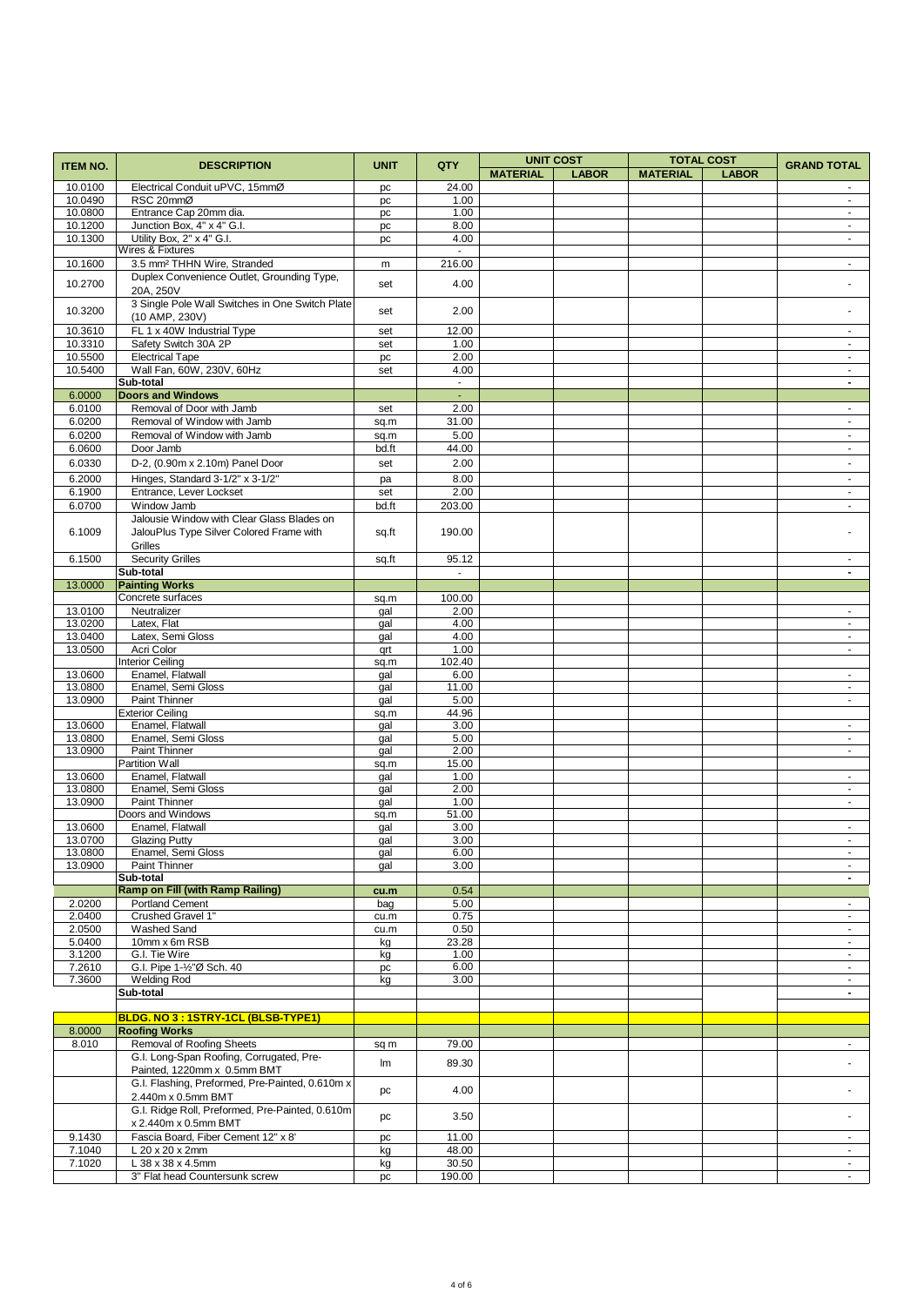|                    |                                                 | <b>UNIT</b> |                          |                 | <b>UNIT COST</b> |                 | <b>TOTAL COST</b> |                             |
|--------------------|-------------------------------------------------|-------------|--------------------------|-----------------|------------------|-----------------|-------------------|-----------------------------|
| <b>ITEM NO.</b>    | <b>DESCRIPTION</b>                              |             | QTY                      | <b>MATERIAL</b> | <b>LABOR</b>     | <b>MATERIAL</b> | <b>LABOR</b>      | <b>GRAND TOTAL</b>          |
| 10.0100            | Electrical Conduit uPVC, 15mmØ                  | pc          | 24.00                    |                 |                  |                 |                   |                             |
| 10.0490            | RSC 20mmØ                                       | pc          | 1.00                     |                 |                  |                 |                   | $\sim$                      |
| 10.0800            | Entrance Cap 20mm dia.                          | pc          | 1.00                     |                 |                  |                 |                   | $\blacksquare$              |
| 10.1200            | Junction Box, 4" x 4" G.I.                      | pc          | 8.00                     |                 |                  |                 |                   | $\blacksquare$              |
| 10.1300            | Utility Box. 2" x 4" G.I.                       | pc          | 4.00                     |                 |                  |                 |                   | $\omega$                    |
|                    | Wires & Fixtures                                |             | $\blacksquare$           |                 |                  |                 |                   |                             |
| 10.1600            | 3.5 mm <sup>2</sup> THHN Wire, Stranded         | m           | 216.00                   |                 |                  |                 |                   | $\blacksquare$              |
| 10.2700            | Duplex Convenience Outlet, Grounding Type,      |             | 4.00                     |                 |                  |                 |                   |                             |
|                    | 20A, 250V                                       | set         |                          |                 |                  |                 |                   |                             |
| 10.3200            | 3 Single Pole Wall Switches in One Switch Plate |             | 2.00                     |                 |                  |                 |                   |                             |
|                    | (10 AMP, 230V)                                  | set         |                          |                 |                  |                 |                   |                             |
| 10.3610            | FL 1 x 40W Industrial Type                      | set         | 12.00                    |                 |                  |                 |                   | $\blacksquare$              |
| 10.3310            | Safety Switch 30A 2P                            | set         | 1.00                     |                 |                  |                 |                   | $\sim$                      |
| 10.5500            | <b>Electrical Tape</b>                          | pc          | 2.00                     |                 |                  |                 |                   | $\blacksquare$              |
| 10.5400            | Wall Fan, 60W, 230V, 60Hz                       | set         | 4.00                     |                 |                  |                 |                   | $\mathcal{L}^{\mathcal{A}}$ |
|                    | Sub-total                                       |             | $\sim$                   |                 |                  |                 |                   | $\overline{\phantom{a}}$    |
| 6.0000             | <b>Doors and Windows</b>                        |             | $\blacksquare$           |                 |                  |                 |                   |                             |
| 6.0100             | Removal of Door with Jamb                       | set         | 2.00                     |                 |                  |                 |                   | $\sim$                      |
| 6.0200             | Removal of Window with Jamb                     | sq.m        | 31.00                    |                 |                  |                 |                   | $\blacksquare$              |
| 6.0200             | Removal of Window with Jamb                     | sq.m        | 5.00                     |                 |                  |                 |                   | $\mathcal{L}_{\mathcal{A}}$ |
| 6.0600             | Door Jamb                                       | bd.ft       | 44.00                    |                 |                  |                 |                   | $\omega$                    |
| 6.0330             | D-2, (0.90m x 2.10m) Panel Door                 | set         | 2.00                     |                 |                  |                 |                   | $\blacksquare$              |
| 6.2000             | Hinges, Standard 3-1/2" x 3-1/2"                | pa          | 8.00                     |                 |                  |                 |                   | $\sim$                      |
| 6.1900             | Entrance, Lever Lockset                         | set         | 2.00                     |                 |                  |                 |                   | $\sim$                      |
| 6.0700             | Window Jamb                                     | bd.ft       | 203.00                   |                 |                  |                 |                   | $\blacksquare$              |
|                    | Jalousie Window with Clear Glass Blades on      |             |                          |                 |                  |                 |                   |                             |
| 6.1009             | JalouPlus Type Silver Colored Frame with        |             | 190.00                   |                 |                  |                 |                   |                             |
|                    | Grilles                                         | sq.ft       |                          |                 |                  |                 |                   |                             |
| 6.1500             | <b>Security Grilles</b>                         |             | 95.12                    |                 |                  |                 |                   | ÷.                          |
|                    | Sub-total                                       | sq.ft       | $\overline{\phantom{a}}$ |                 |                  |                 |                   | $\blacksquare$              |
| 13.0000            | <b>Painting Works</b>                           |             |                          |                 |                  |                 |                   |                             |
|                    | Concrete surfaces                               |             |                          |                 |                  |                 |                   |                             |
| 13.0100            | Neutralizer                                     | sq.m        | 100.00<br>2.00           |                 |                  |                 |                   | $\sim$                      |
| 13.0200            | Latex, Flat                                     | gal         | 4.00                     |                 |                  |                 |                   | $\blacksquare$              |
|                    |                                                 | gal         |                          |                 |                  |                 |                   |                             |
| 13.0400            | Latex, Semi Gloss                               | gal         | 4.00                     |                 |                  |                 |                   | $\sim$                      |
| 13.0500            | Acri Color                                      | qrt         | 1.00                     |                 |                  |                 |                   | $\blacksquare$              |
|                    | <b>Interior Ceiling</b>                         | sq.m        | 102.40                   |                 |                  |                 |                   |                             |
| 13.0600            | Enamel, Flatwall                                | gal         | 6.00                     |                 |                  |                 |                   | $\blacksquare$              |
| 13.0800            | Enamel, Semi Gloss                              | gal         | 11.00                    |                 |                  |                 |                   | $\omega$                    |
| 13.0900            | Paint Thinner                                   | gal         | 5.00                     |                 |                  |                 |                   | $\blacksquare$              |
| 13.0600            | <b>Exterior Ceiling</b><br>Enamel, Flatwall     | sq.m        | 44.96<br>3.00            |                 |                  |                 |                   |                             |
|                    |                                                 | gal         |                          |                 |                  |                 |                   | $\sim$                      |
| 13.0800<br>13.0900 | Enamel, Semi Gloss<br>Paint Thinner             | gal         | 5.00<br>2.00             |                 |                  |                 |                   | $\blacksquare$<br>$\sim$    |
|                    | <b>Partition Wall</b>                           | gal         |                          |                 |                  |                 |                   |                             |
| 13.0600            | Enamel, Flatwall                                | sq.m        | 15.00<br>1.00            |                 |                  |                 |                   |                             |
| 13.0800            | Enamel, Semi Gloss                              | gal         | 2.00                     |                 |                  |                 |                   | $\sim$                      |
| 13.0900            | Paint Thinner                                   | gal         |                          |                 |                  |                 |                   | $\blacksquare$<br>$\omega$  |
|                    | Doors and Windows                               | gal         | 1.00<br>51.00            |                 |                  |                 |                   |                             |
| 13.0600            |                                                 | sq.m        | 3.00                     |                 |                  |                 |                   | $\sim$                      |
| 13.0700            | Enamel, Flatwall<br><b>Glazing Putty</b>        | gal         |                          |                 |                  |                 |                   | $\omega$                    |
|                    |                                                 | gal         | 3.00                     |                 |                  |                 |                   | $\blacksquare$              |
| 13.0800<br>13.0900 | Enamel, Semi Gloss<br>Paint Thinner             | gal<br>gal  | 6.00<br>3.00             |                 |                  |                 |                   | $\blacksquare$              |
|                    | Sub-total                                       |             |                          |                 |                  |                 |                   | $\overline{\phantom{a}}$    |
|                    | <b>Ramp on Fill (with Ramp Railing)</b>         | cu.m        | 0.54                     |                 |                  |                 |                   |                             |
| 2.0200             | <b>Portland Cement</b>                          | bag         | 5.00                     |                 |                  |                 |                   | $\sim$                      |
| 2.0400             | Crushed Gravel 1"                               | cu.m        | 0.75                     |                 |                  |                 |                   | $\blacksquare$              |
| 2.0500             | <b>Washed Sand</b>                              | cu.m        | 0.50                     |                 |                  |                 |                   | $\sim$                      |
| 5.0400             | 10mm x 6m RSB                                   | kg          | 23.28                    |                 |                  |                 |                   | $\omega_{\rm c}$            |
| 3.1200             | G.I. Tie Wire                                   | kg          | 1.00                     |                 |                  |                 |                   | $\sim$                      |
| 7.2610             | G.I. Pipe 1-1/2"Ø Sch. 40                       | pc          | 6.00                     |                 |                  |                 |                   | $\sim$                      |
| 7.3600             | <b>Welding Rod</b>                              | kg          | 3.00                     |                 |                  |                 |                   | $\sim$                      |
|                    | Sub-total                                       |             |                          |                 |                  |                 |                   | $\blacksquare$              |
|                    |                                                 |             |                          |                 |                  |                 |                   |                             |
|                    | BLDG. NO 3 : 1STRY-1CL (BLSB-TYPE1)             |             |                          |                 |                  |                 |                   |                             |
| 8.0000             | <b>Roofing Works</b>                            |             |                          |                 |                  |                 |                   |                             |
| 8.010              | Removal of Roofing Sheets                       | sq m        | 79.00                    |                 |                  |                 |                   | $\sim$                      |
|                    | G.I. Long-Span Roofing, Corrugated, Pre-        |             |                          |                 |                  |                 |                   |                             |
|                    | Painted, 1220mm x 0.5mm BMT                     | Im          | 89.30                    |                 |                  |                 |                   | $\blacksquare$              |
|                    | G.I. Flashing, Preformed, Pre-Painted, 0.610m x |             |                          |                 |                  |                 |                   |                             |
|                    | 2.440m x 0.5mm BMT                              | pc          | 4.00                     |                 |                  |                 |                   |                             |
|                    | G.I. Ridge Roll, Preformed, Pre-Painted, 0.610m |             |                          |                 |                  |                 |                   |                             |
|                    | x 2.440m x 0.5mm BMT                            | pc          | 3.50                     |                 |                  |                 |                   | $\blacksquare$              |
| 9.1430             | Fascia Board, Fiber Cement 12" x 8"             | pc          | 11.00                    |                 |                  |                 |                   | $\sim$                      |
| 7.1040             | L 20 x 20 x 2mm                                 | kg          | 48.00                    |                 |                  |                 |                   | $\sim$                      |
| 7.1020             | L 38 x 38 x 4.5mm                               | kg          | 30.50                    |                 |                  |                 |                   | $\sim$                      |
|                    | 3" Flat head Countersunk screw                  | pc          | 190.00                   |                 |                  |                 |                   |                             |
|                    |                                                 |             |                          |                 |                  |                 |                   |                             |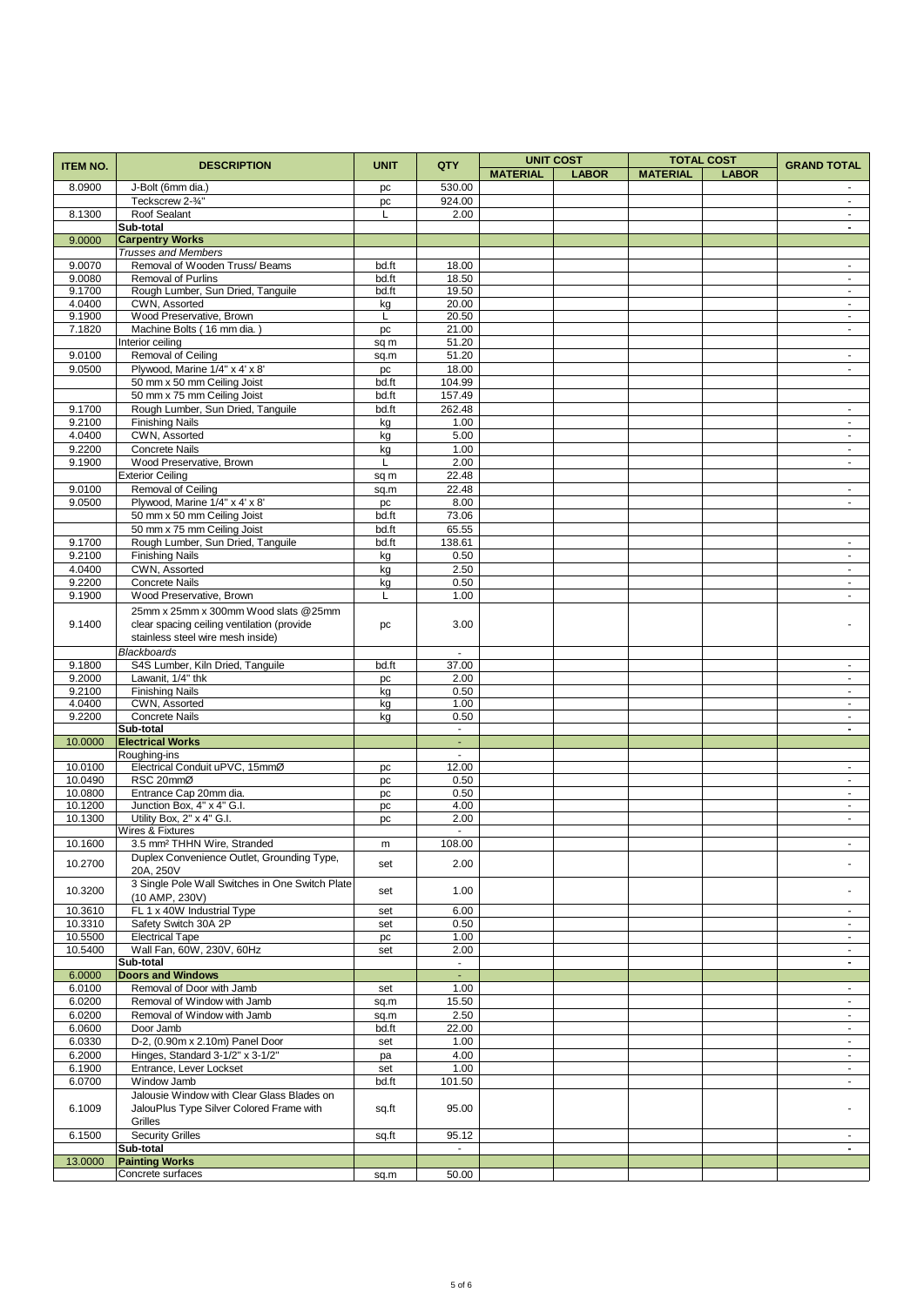| <b>ITEM NO.</b>  | <b>DESCRIPTION</b>                                            | <b>UNIT</b> | QTY                      |                 | <b>UNIT COST</b> |                 | <b>TOTAL COST</b> | <b>GRAND TOTAL</b>         |
|------------------|---------------------------------------------------------------|-------------|--------------------------|-----------------|------------------|-----------------|-------------------|----------------------------|
|                  |                                                               |             |                          | <b>MATERIAL</b> | <b>LABOR</b>     | <b>MATERIAL</b> | <b>LABOR</b>      |                            |
| 8.0900           | J-Bolt (6mm dia.)                                             | pc          | 530.00                   |                 |                  |                 |                   |                            |
|                  | Teckscrew 2-3/4"                                              | pc          | 924.00                   |                 |                  |                 |                   | $\blacksquare$             |
| 8.1300           | Roof Sealant                                                  | L           | 2.00                     |                 |                  |                 |                   | $\sim$                     |
| 9.0000           | Sub-total<br><b>Carpentry Works</b>                           |             |                          |                 |                  |                 |                   | $\blacksquare$             |
|                  | <b>Trusses and Members</b>                                    |             |                          |                 |                  |                 |                   |                            |
| 9.0070           | Removal of Wooden Truss/Beams                                 | bd.ft       | 18.00                    |                 |                  |                 |                   | $\omega$                   |
| 9.0080           | <b>Removal of Purlins</b>                                     | bd.ft       | 18.50                    |                 |                  |                 |                   | $\blacksquare$             |
| 9.1700           | Rough Lumber, Sun Dried, Tanguile                             | bd.ft       | 19.50                    |                 |                  |                 |                   | $\sim$                     |
| 4.0400           | CWN, Assorted                                                 | kg          | 20.00                    |                 |                  |                 |                   | $\blacksquare$             |
| 9.1900           | Wood Preservative, Brown                                      | L           | 20.50                    |                 |                  |                 |                   | $\omega$                   |
| 7.1820           | Machine Bolts (16 mm dia.)<br>Interior ceiling                | pc<br>sq m  | 21.00<br>51.20           |                 |                  |                 |                   | $\blacksquare$             |
| 9.0100           | Removal of Ceiling                                            | sq.m        | 51.20                    |                 |                  |                 |                   | $\blacksquare$             |
| 9.0500           | Plywood, Marine 1/4" x 4' x 8'                                | pc          | 18.00                    |                 |                  |                 |                   | $\blacksquare$             |
|                  | 50 mm x 50 mm Ceiling Joist                                   | bd.ft       | 104.99                   |                 |                  |                 |                   |                            |
|                  | 50 mm x 75 mm Ceiling Joist                                   | bd.ft       | 157.49                   |                 |                  |                 |                   |                            |
| 9.1700           | Rough Lumber, Sun Dried, Tanguile                             | bd.ft       | 262.48                   |                 |                  |                 |                   | $\sim$                     |
| 9.2100           | <b>Finishing Nails</b>                                        | kg          | 1.00                     |                 |                  |                 |                   | $\blacksquare$             |
| 4.0400           | CWN, Assorted                                                 | kg          | 5.00                     |                 |                  |                 |                   | $\sim$                     |
| 9.2200           | <b>Concrete Nails</b>                                         | kg          | 1.00                     |                 |                  |                 |                   | $\blacksquare$             |
| 9.1900           | Wood Preservative, Brown                                      | L           | 2.00                     |                 |                  |                 |                   | $\blacksquare$             |
|                  | <b>Exterior Ceiling</b>                                       | sq m        | 22.48                    |                 |                  |                 |                   |                            |
| 9.0100           | Removal of Ceiling                                            | sq.m        | 22.48                    |                 |                  |                 |                   | $\omega$                   |
| 9.0500           | Plywood, Marine 1/4" x 4' x 8'<br>50 mm x 50 mm Ceiling Joist | pc<br>bd.ft | 8.00<br>73.06            |                 |                  |                 |                   | $\sim$                     |
|                  | 50 mm x 75 mm Ceiling Joist                                   | bd.ft       | 65.55                    |                 |                  |                 |                   |                            |
| 9.1700           | Rough Lumber, Sun Dried, Tanguile                             | bd.ft       | 138.61                   |                 |                  |                 |                   | $\sim$                     |
| 9.2100           | <b>Finishing Nails</b>                                        | kg          | 0.50                     |                 |                  |                 |                   | $\blacksquare$             |
| 4.0400           | CWN, Assorted                                                 | kg          | 2.50                     |                 |                  |                 |                   | $\blacksquare$             |
| 9.2200           | <b>Concrete Nails</b>                                         | kg          | 0.50                     |                 |                  |                 |                   | $\omega$                   |
| 9.1900           | Wood Preservative, Brown                                      | L           | 1.00                     |                 |                  |                 |                   | $\sim$                     |
|                  | 25mm x 25mm x 300mm Wood slats @25mm                          |             |                          |                 |                  |                 |                   |                            |
| 9.1400           | clear spacing ceiling ventilation (provide                    | pc          | 3.00                     |                 |                  |                 |                   |                            |
|                  | stainless steel wire mesh inside)                             |             |                          |                 |                  |                 |                   |                            |
|                  | <b>Blackboards</b>                                            |             |                          |                 |                  |                 |                   |                            |
| 9.1800           | S4S Lumber, Kiln Dried, Tanguile                              | bd.ft       | 37.00                    |                 |                  |                 |                   | $\sim$                     |
| 9.2000           | Lawanit, 1/4" thk                                             | pc          | 2.00                     |                 |                  |                 |                   | $\blacksquare$             |
| 9.2100           | <b>Finishing Nails</b>                                        | kg          | 0.50                     |                 |                  |                 |                   | $\sim$                     |
| 4.0400<br>9.2200 | CWN, Assorted<br><b>Concrete Nails</b>                        | kg          | 1.00<br>0.50             |                 |                  |                 |                   | $\omega$<br>$\blacksquare$ |
|                  | Sub-total                                                     | kg          | $\blacksquare$           |                 |                  |                 |                   | $\blacksquare$             |
| 10.0000          | <b>Electrical Works</b>                                       |             | $\Box$                   |                 |                  |                 |                   |                            |
|                  | Roughing-ins                                                  |             | $\mathbf{r}$             |                 |                  |                 |                   |                            |
| 10.0100          | Electrical Conduit uPVC, 15mmØ                                | pc          | 12.00                    |                 |                  |                 |                   | ÷.                         |
| 10.0490          | RSC 20mmØ                                                     | pc          | 0.50                     |                 |                  |                 |                   | $\sim$                     |
| 10.0800          | Entrance Cap 20mm dia.                                        | pc          | 0.50                     |                 |                  |                 |                   | $\omega$                   |
| 10.1200          | Junction Box, 4" x 4" G.I.                                    | pc          | 4.00                     |                 |                  |                 |                   | $\sim$                     |
| 10.1300          | Utility Box, 2" x 4" G.I.<br>Wires & Fixtures                 | pc          | 2.00<br>$\blacksquare$   |                 |                  |                 |                   | $\sim$                     |
| 10.1600          | 3.5 mm <sup>2</sup> THHN Wire, Stranded                       | m           | 108.00                   |                 |                  |                 |                   |                            |
|                  | Duplex Convenience Outlet, Grounding Type,                    |             |                          |                 |                  |                 |                   |                            |
| 10.2700          | 20A. 250V                                                     | set         | 2.00                     |                 |                  |                 |                   |                            |
|                  | 3 Single Pole Wall Switches in One Switch Plate               |             |                          |                 |                  |                 |                   |                            |
| 10.3200          | (10 AMP, 230V)                                                | set         | 1.00                     |                 |                  |                 |                   |                            |
| 10.3610          | FL 1 x 40W Industrial Type                                    | set         | 6.00                     |                 |                  |                 |                   | $\sim$                     |
| 10.3310          | Safety Switch 30A 2P                                          | set         | 0.50                     |                 |                  |                 |                   | $\sim$                     |
| 10.5500          | <b>Electrical Tape</b>                                        | pc          | 1.00                     |                 |                  |                 |                   | $\sim$                     |
| 10.5400          | Wall Fan, 60W, 230V, 60Hz                                     | set         | 2.00                     |                 |                  |                 |                   | $\omega$                   |
| 6.0000           | Sub-total<br><b>Doors and Windows</b>                         |             | $\sim$<br>$\blacksquare$ |                 |                  |                 |                   | $\blacksquare$             |
| 6.0100           | Removal of Door with Jamb                                     | set         | 1.00                     |                 |                  |                 |                   | $\blacksquare$             |
| 6.0200           | Removal of Window with Jamb                                   | sq.m        | 15.50                    |                 |                  |                 |                   | $\sim$                     |
| 6.0200           | Removal of Window with Jamb                                   | sq.m        | 2.50                     |                 |                  |                 |                   | $\blacksquare$             |
| 6.0600           | Door Jamb                                                     | bd.ft       | 22.00                    |                 |                  |                 |                   | $\sim$                     |
| 6.0330           | D-2, (0.90m x 2.10m) Panel Door                               | set         | 1.00                     |                 |                  |                 |                   | $\sim$                     |
| 6.2000           | Hinges, Standard 3-1/2" x 3-1/2"                              | pa          | 4.00                     |                 |                  |                 |                   | $\sim$                     |
| 6.1900           | Entrance, Lever Lockset                                       | set         | 1.00                     |                 |                  |                 |                   | $\sim$                     |
| 6.0700           | Window Jamb                                                   | bd.ft       | 101.50                   |                 |                  |                 |                   | $\sim$                     |
|                  | Jalousie Window with Clear Glass Blades on                    |             |                          |                 |                  |                 |                   |                            |
| 6.1009           | JalouPlus Type Silver Colored Frame with                      | sq.ft       | 95.00                    |                 |                  |                 |                   |                            |
|                  | Grilles<br><b>Security Grilles</b>                            |             |                          |                 |                  |                 |                   |                            |
| 6.1500           | Sub-total                                                     | sq.ft       | 95.12<br>$\blacksquare$  |                 |                  |                 |                   | $\blacksquare$             |
| 13.0000          | <b>Painting Works</b>                                         |             |                          |                 |                  |                 |                   |                            |
|                  | Concrete surfaces                                             | sq.m        | 50.00                    |                 |                  |                 |                   |                            |